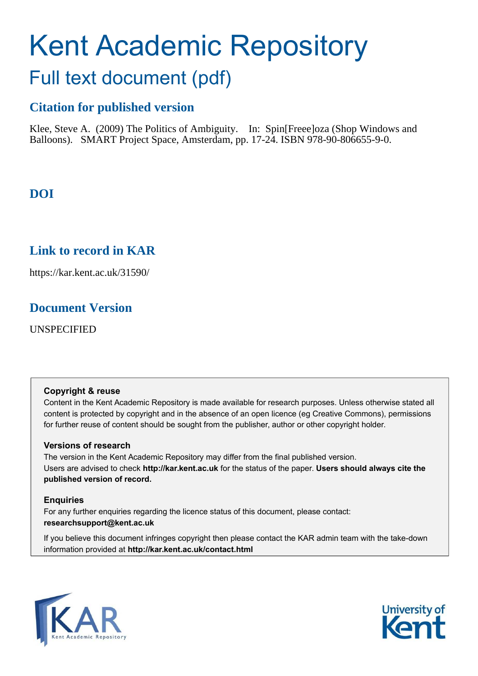# Kent Academic Repository Full text document (pdf)

## **Citation for published version**

Klee, Steve A. (2009) The Politics of Ambiguity. In: Spin[Freee]oza (Shop Windows and Balloons). SMART Project Space, Amsterdam, pp. 17-24. ISBN 978-90-806655-9-0.

## **DOI**

## **Link to record in KAR**

https://kar.kent.ac.uk/31590/

## **Document Version**

UNSPECIFIED

#### **Copyright & reuse**

Content in the Kent Academic Repository is made available for research purposes. Unless otherwise stated all content is protected by copyright and in the absence of an open licence (eg Creative Commons), permissions for further reuse of content should be sought from the publisher, author or other copyright holder.

#### **Versions of research**

The version in the Kent Academic Repository may differ from the final published version. Users are advised to check **http://kar.kent.ac.uk** for the status of the paper. **Users should always cite the published version of record.**

### **Enquiries**

For any further enquiries regarding the licence status of this document, please contact: **researchsupport@kent.ac.uk**

If you believe this document infringes copyright then please contact the KAR admin team with the take-down information provided at **http://kar.kent.ac.uk/contact.html**



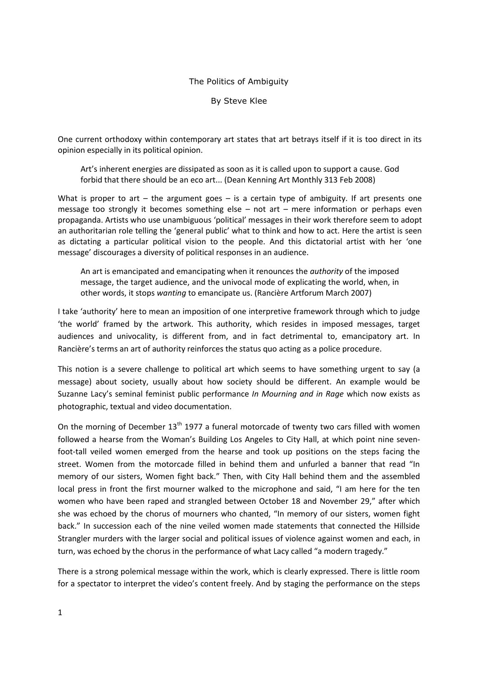#### The Politics of Ambiguity

By Steve Klee

One current orthodoxy within contemporary art states that art betrays itself if it is too direct in its opinion especially in its political opinion.

Art's inherent energies are dissipated as soon as it is called upon to support a cause. God forbid that there should be an eco art... (Dean Kenning Art Monthly 313 Feb 2008)

What is proper to art  $-$  the argument goes  $-$  is a certain type of ambiguity. If art presents one message too strongly it becomes something else  $-$  not art  $-$  mere information or perhaps even propaganda. Artists who use unambiguous 'political' messages in their work therefore seem to adopt an authoritarian role telling the 'general public' what to think and how to act. Here the artist is seen as dictating a particular political vision to the people. And this dictatorial artist with her 'one message' discourages a diversity of political responses in an audience.

An art is emancipated and emancipating when it renounces the *authority* of the imposed message, the target audience, and the univocal mode of explicating the world, when, in other words, it stops *wanting* to emancipate us. (Rancière Artforum March 2007)

I take 'authority' here to mean an imposition of one interpretive framework through which to judge 'the world' framed by the artwork. This authority, which resides in imposed messages, target audiences and univocality, is different from, and in fact detrimental to, emancipatory art. In Rancière's terms an art of authority reinforces the status quo acting as a police procedure.

This notion is a severe challenge to political art which seems to have something urgent to say (a message) about society, usually about how society should be different. An example would be Suzanne Lacy's seminal feminist public performance *In Mourning and in Rage* which now exists as photographic, textual and video documentation.

On the morning of December  $13<sup>th</sup> 1977$  a funeral motorcade of twenty two cars filled with women followed a hearse from the Woman's Building Los Angeles to City Hall, at which point nine sevenfoot-tall veiled women emerged from the hearse and took up positions on the steps facing the street. Women from the motorcade filled in behind them and unfurled a banner that read "In memory of our sisters, Women fight back." Then, with City Hall behind them and the assembled local press in front the first mourner walked to the microphone and said, "I am here for the ten women who have been raped and strangled between October 18 and November 29," after which she was echoed by the chorus of mourners who chanted, "In memory of our sisters, women fight back." In succession each of the nine veiled women made statements that connected the Hillside Strangler murders with the larger social and political issues of violence against women and each, in turn, was echoed by the chorus in the performance of what Lacy called "a modern tragedy."

There is a strong polemical message within the work, which is clearly expressed. There is little room for a spectator to interpret the video's content freely. And by staging the performance on the steps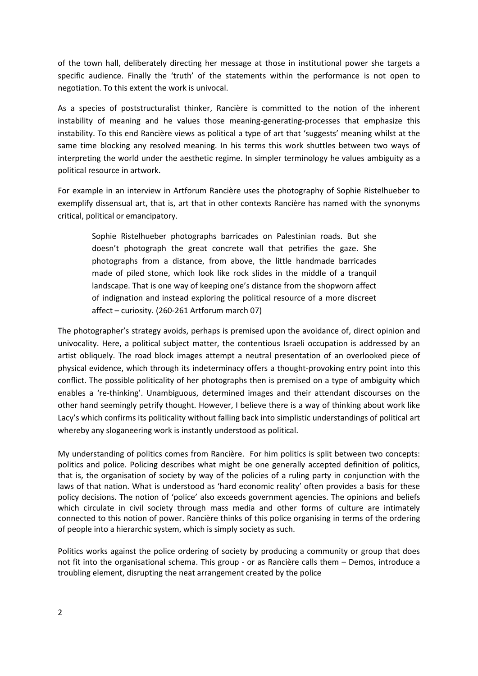of the town hall, deliberately directing her message at those in institutional power she targets a specific audience. Finally the 'truth' of the statements within the performance is not open to negotiation. To this extent the work is univocal.

As a species of poststructuralist thinker, Rancière is committed to the notion of the inherent instability of meaning and he values those meaning-generating-processes that emphasize this instability. To this end Rancière views as political a type of art that 'suggests' meaning whilst at the same time blocking any resolved meaning. In his terms this work shuttles between two ways of interpreting the world under the aesthetic regime. In simpler terminology he values ambiguity as a political resource in artwork.

For example in an interview in Artforum Rancière uses the photography of Sophie Ristelhueber to exemplify dissensual art, that is, art that in other contexts Rancière has named with the synonyms critical, political or emancipatory.

Sophie Ristelhueber photographs barricades on Palestinian roads. But she doesn't photograph the great concrete wall that petrifies the gaze. She photographs from a distance, from above, the little handmade barricades made of piled stone, which look like rock slides in the middle of a tranquil landscape. That is one way of keeping one's distance from the shopworn affect of indignation and instead exploring the political resource of a more discreet affect  $-$  curiosity. (260-261 Artforum march 07)

The photographer's strategy avoids, perhaps is premised upon the avoidance of, direct opinion and univocality. Here, a political subject matter, the contentious Israeli occupation is addressed by an artist obliquely. The road block images attempt a neutral presentation of an overlooked piece of physical evidence, which through its indeterminacy offers a thought-provoking entry point into this conflict. The possible politicality of her photographs then is premised on a type of ambiguity which enables a 're-thinking'. Unambiguous, determined images and their attendant discourses on the other hand seemingly petrify thought. However, I believe there is a way of thinking about work like Lacy's which confirms its politicality without falling back into simplistic understandings of political art whereby any sloganeering work is instantly understood as political.

My understanding of politics comes from Rancière. For him politics is split between two concepts: politics and police. Policing describes what might be one generally accepted definition of politics, that is, the organisation of society by way of the policies of a ruling party in conjunction with the laws of that nation. What is understood as 'hard economic reality' often provides a basis for these policy decisions. The notion of 'police' also exceeds government agencies. The opinions and beliefs which circulate in civil society through mass media and other forms of culture are intimately connected to this notion of power. Rancière thinks of this police organising in terms of the ordering of people into a hierarchic system, which is simply society as such.

Politics works against the police ordering of society by producing a community or group that does not fit into the organisational schema. This group - or as Rancière calls them - Demos, introduce a troubling element, disrupting the neat arrangement created by the police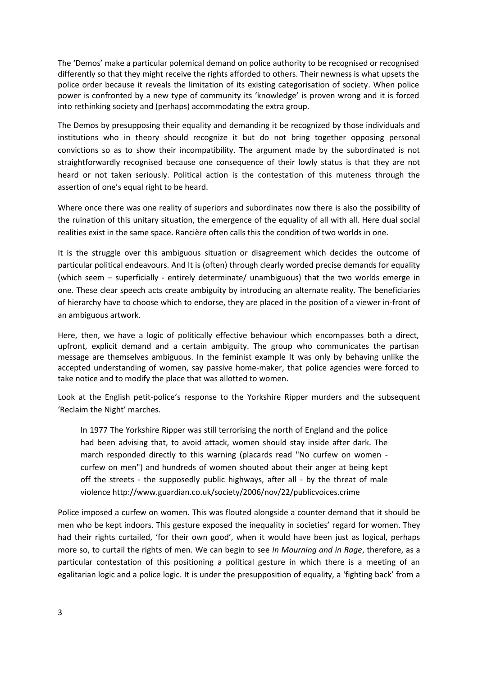The 'Demos' make a particular polemical demand on police authority to be recognised or recognised differently so that they might receive the rights afforded to others. Their newness is what upsets the police order because it reveals the limitation of its existing categorisation of society. When police power is confronted by a new type of community its 'knowledge' is proven wrong and it is forced into rethinking society and (perhaps) accommodating the extra group.

The Demos by presupposing their equality and demanding it be recognized by those individuals and institutions who in theory should recognize it but do not bring together opposing personal convictions so as to show their incompatibility. The argument made by the subordinated is not straightforwardly recognised because one consequence of their lowly status is that they are not heard or not taken seriously. Political action is the contestation of this muteness through the assertion of one's equal right to be heard.

Where once there was one reality of superiors and subordinates now there is also the possibility of the ruination of this unitary situation, the emergence of the equality of all with all. Here dual social realities exist in the same space. Rancière often calls this the condition of two worlds in one.

It is the struggle over this ambiguous situation or disagreement which decides the outcome of particular political endeavours. And It is (often) through clearly worded precise demands for equality (which seem - superficially - entirely determinate/ unambiguous) that the two worlds emerge in one. These clear speech acts create ambiguity by introducing an alternate reality. The beneficiaries of hierarchy have to choose which to endorse, they are placed in the position of a viewer in-front of an ambiguous artwork.

Here, then, we have a logic of politically effective behaviour which encompasses both a direct, upfront, explicit demand and a certain ambiguity. The group who communicates the partisan message are themselves ambiguous. In the feminist example It was only by behaving unlike the accepted understanding of women, say passive home-maker, that police agencies were forced to take notice and to modify the place that was allotted to women.

Look at the English petit-police's response to the Yorkshire Ripper murders and the subsequent 'Reclaim the Night' marches.

In 1977 The Yorkshire Ripper was still terrorising the north of England and the police had been advising that, to avoid attack, women should stay inside after dark. The march responded directly to this warning (placards read "No curfew on women curfew on men") and hundreds of women shouted about their anger at being kept off the streets - the supposedly public highways, after all - by the threat of male violence http://www.guardian.co.uk/society/2006/nov/22/publicvoices.crime

Police imposed a curfew on women. This was flouted alongside a counter demand that it should be men who be kept indoors. This gesture exposed the inequality in societies' regard for women. They had their rights curtailed, 'for their own good', when it would have been just as logical, perhaps more so, to curtail the rights of men. We can begin to see *In Mourning and in Rage*, therefore, as a particular contestation of this positioning a political gesture in which there is a meeting of an egalitarian logic and a police logic. It is under the presupposition of equality, a 'fighting back' from a